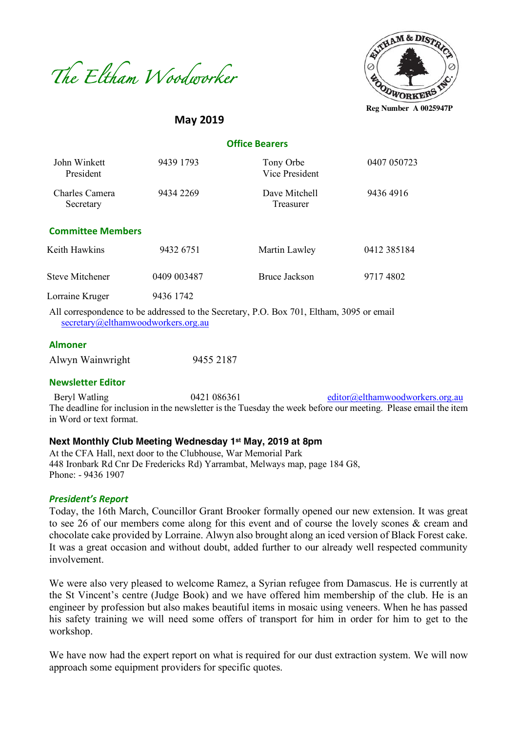



**May 2019**

 **Office Bearers**

| John Winkett<br>President   | 9439 1793   | Tony Orbe<br>Vice President                                                                                                                                            | 0407 050723 |
|-----------------------------|-------------|------------------------------------------------------------------------------------------------------------------------------------------------------------------------|-------------|
| Charles Camera<br>Secretary | 9434 2269   | Dave Mitchell<br>Treasurer                                                                                                                                             | 94364916    |
| <b>Committee Members</b>    |             |                                                                                                                                                                        |             |
| Keith Hawkins               | 9432 6751   | Martin Lawley                                                                                                                                                          | 0412 385184 |
| <b>Steve Mitchener</b>      | 0409 003487 | Bruce Jackson                                                                                                                                                          | 97174802    |
| Lorraine Kruger             | 9436 1742   |                                                                                                                                                                        |             |
|                             |             | $\lambda$ 11 1 $\lambda$ 1 1 1 1 1 $\lambda$ 1 0 $\lambda$ 1 0 0 $\pi$ 0 0 $\pi$ 0 0 0 $\pi$ 0 0 $\lambda$ 1 1 1 1 0 $\lambda$ 1 0 0 $\pi$ 0 0 $\pi$ 0 0 0 $\pi$ 0 0 1 |             |

All correspondence to be addressed to the Secretary, P.O. Box 701, Eltham, 3095 or email secretary@elthamwoodworkers.org.au

#### **Almoner**

| Alwyn Wainwright | 9455 2187 |
|------------------|-----------|
|                  |           |

#### **Newsletter Editor**

Beryl Watling 0421 086361 editor@elthamwoodworkers.org.au The deadline for inclusion in the newsletter is the Tuesday the week before our meeting. Please email the item in Word or text format.

### **Next Monthly Club Meeting Wednesday 1st May, 2019 at 8pm**

At the CFA Hall, next door to the Clubhouse, War Memorial Park 448 Ironbark Rd Cnr De Fredericks Rd) Yarrambat, Melways map, page 184 G8, Phone: - 9436 1907

#### *President's Report*

Today, the 16th March, Councillor Grant Brooker formally opened our new extension. It was great to see 26 of our members come along for this event and of course the lovely scones & cream and chocolate cake provided by Lorraine. Alwyn also brought along an iced version of Black Forest cake. It was a great occasion and without doubt, added further to our already well respected community involvement.

We were also very pleased to welcome Ramez, a Syrian refugee from Damascus. He is currently at the St Vincent's centre (Judge Book) and we have offered him membership of the club. He is an engineer by profession but also makes beautiful items in mosaic using veneers. When he has passed his safety training we will need some offers of transport for him in order for him to get to the workshop.

We have now had the expert report on what is required for our dust extraction system. We will now approach some equipment providers for specific quotes.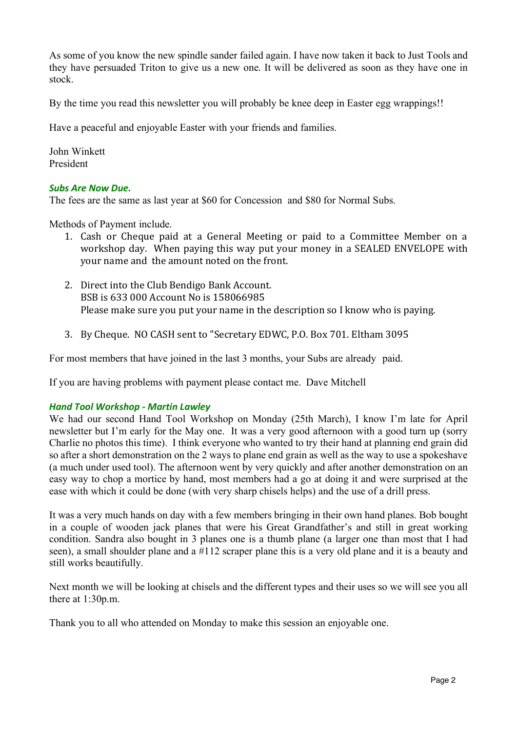As some of you know the new spindle sander failed again. I have now taken it back to Just Tools and they have persuaded Triton to give us a new one. It will be delivered as soon as they have one in stock.

By the time you read this newsletter you will probably be knee deep in Easter egg wrappings!!

Have a peaceful and enjoyable Easter with your friends and families.

John Winkett President

## *Subs Are Now Due.*

The fees are the same as last year at \$60 for Concession and \$80 for Normal Subs.

Methods of Payment include.

- 1. Cash or Cheque paid at a General Meeting or paid to a Committee Member on a workshop day. When paying this way put your money in a SEALED ENVELOPE with your name and the amount noted on the front.
- 2. Direct into the Club Bendigo Bank Account. BSB is 633 000 Account No is 158066985 Please make sure you put your name in the description so I know who is paying.
- 3. By Cheque. NO CASH sent to "Secretary EDWC, P.O. Box 701. Eltham 3095

For most members that have joined in the last 3 months, your Subs are already paid.

If you are having problems with payment please contact me. Dave Mitchell

#### *Hand Tool Workshop - Martin Lawley*

We had our second Hand Tool Workshop on Monday (25th March), I know I'm late for April newsletter but I'm early for the May one. It was a very good afternoon with a good turn up (sorry Charlie no photos this time). I think everyone who wanted to try their hand at planning end grain did so after a short demonstration on the 2 ways to plane end grain as well as the way to use a spokeshave (a much under used tool). The afternoon went by very quickly and after another demonstration on an easy way to chop a mortice by hand, most members had a go at doing it and were surprised at the ease with which it could be done (with very sharp chisels helps) and the use of a drill press.

It was a very much hands on day with a few members bringing in their own hand planes. Bob bought in a couple of wooden jack planes that were his Great Grandfather's and still in great working condition. Sandra also bought in 3 planes one is a thumb plane (a larger one than most that I had seen), a small shoulder plane and a #112 scraper plane this is a very old plane and it is a beauty and still works beautifully.

Next month we will be looking at chisels and the different types and their uses so we will see you all there at 1:30p.m.

Thank you to all who attended on Monday to make this session an enjoyable one.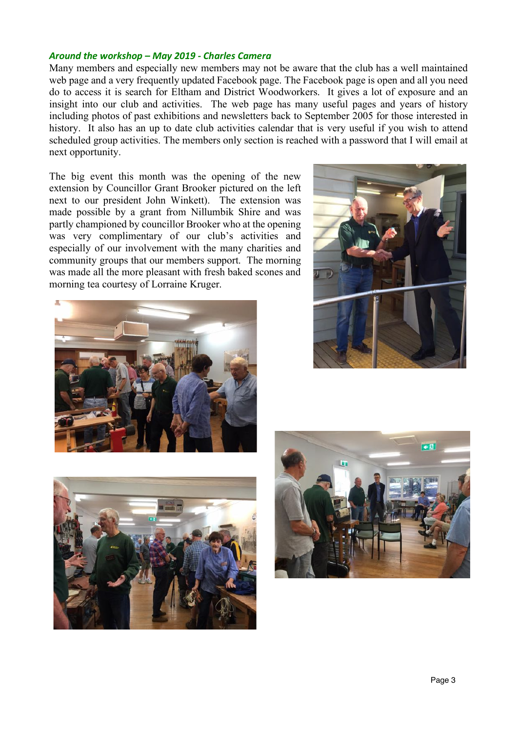### *Around the workshop – May 2019 - Charles Camera*

Many members and especially new members may not be aware that the club has a well maintained web page and a very frequently updated Facebook page. The Facebook page is open and all you need do to access it is search for Eltham and District Woodworkers. It gives a lot of exposure and an insight into our club and activities. The web page has many useful pages and years of history including photos of past exhibitions and newsletters back to September 2005 for those interested in history. It also has an up to date club activities calendar that is very useful if you wish to attend scheduled group activities. The members only section is reached with a password that I will email at next opportunity.

The big event this month was the opening of the new extension by Councillor Grant Brooker pictured on the left next to our president John Winkett). The extension was made possible by a grant from Nillumbik Shire and was partly championed by councillor Brooker who at the opening was very complimentary of our club's activities and especially of our involvement with the many charities and community groups that our members support. The morning was made all the more pleasant with fresh baked scones and morning tea courtesy of Lorraine Kruger.







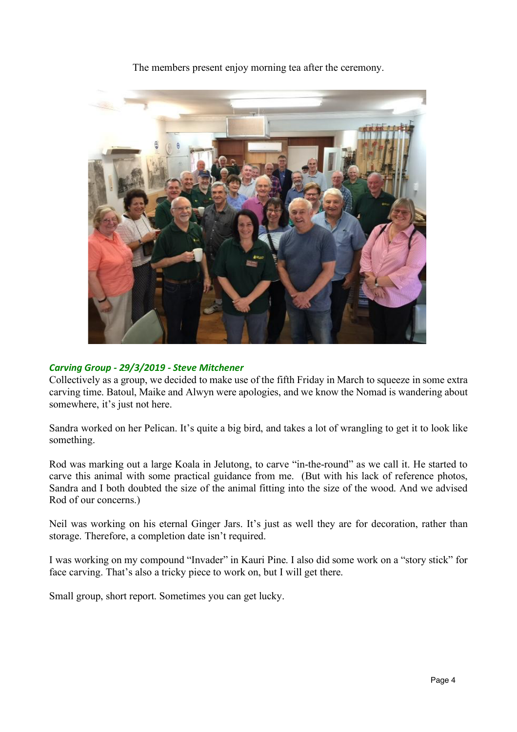

The members present enjoy morning tea after the ceremony.

## *Carving Group - 29/3/2019 - Steve Mitchener*

Collectively as a group, we decided to make use of the fifth Friday in March to squeeze in some extra carving time. Batoul, Maike and Alwyn were apologies, and we know the Nomad is wandering about somewhere, it's just not here.

Sandra worked on her Pelican. It's quite a big bird, and takes a lot of wrangling to get it to look like something.

Rod was marking out a large Koala in Jelutong, to carve "in-the-round" as we call it. He started to carve this animal with some practical guidance from me. (But with his lack of reference photos, Sandra and I both doubted the size of the animal fitting into the size of the wood. And we advised Rod of our concerns.)

Neil was working on his eternal Ginger Jars. It's just as well they are for decoration, rather than storage. Therefore, a completion date isn't required.

I was working on my compound "Invader" in Kauri Pine. I also did some work on a "story stick" for face carving. That's also a tricky piece to work on, but I will get there.

Small group, short report. Sometimes you can get lucky.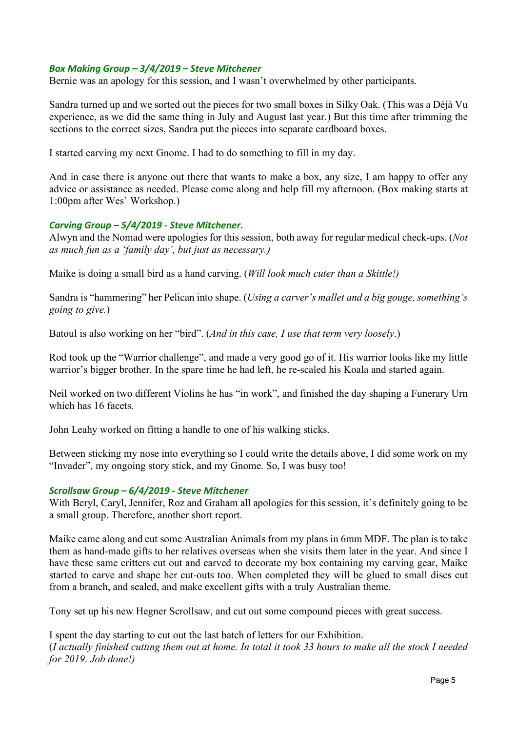## *Box Making Group – 3/4/2019 – Steve Mitchener*

Bernie was an apology for this session, and I wasn't overwhelmed by other participants.

Sandra turned up and we sorted out the pieces for two small boxes in Silky Oak. (This was a Déjà Vu experience, as we did the same thing in July and August last year.) But this time after trimming the sections to the correct sizes, Sandra put the pieces into separate cardboard boxes.

I started carving my next Gnome. I had to do something to fill in my day.

And in case there is anyone out there that wants to make a box, any size, I am happy to offer any advice or assistance as needed. Please come along and help fill my afternoon. (Box making starts at 1:00pm after Wes' Workshop.)

### *Carving Group – 5/4/2019 - Steve Mitchener.*

Alwyn and the Nomad were apologies for this session, both away for regular medical check-ups. (*Not as much fun as a 'family day', but just as necessary.)*

Maike is doing a small bird as a hand carving. (*Will look much cuter than a Skittle!)*

Sandra is "hammering" her Pelican into shape. (*Using a carver's mallet and a big gouge, something's going to give.*)

Batoul is also working on her "bird". (*And in this case, I use that term very loosely*.)

Rod took up the "Warrior challenge", and made a very good go of it. His warrior looks like my little warrior's bigger brother. In the spare time he had left, he re-scaled his Koala and started again.

Neil worked on two different Violins he has "in work", and finished the day shaping a Funerary Urn which has 16 facets.

John Leahy worked on fitting a handle to one of his walking sticks.

Between sticking my nose into everything so I could write the details above, I did some work on my "Invader", my ongoing story stick, and my Gnome. So, I was busy too!

#### *Scrollsaw Group – 6/4/2019 - Steve Mitchener*

With Beryl, Caryl, Jennifer, Roz and Graham all apologies for this session, it's definitely going to be a small group. Therefore, another short report.

Maike came along and cut some Australian Animals from my plans in 6mm MDF. The plan is to take them as hand-made gifts to her relatives overseas when she visits them later in the year. And since I have these same critters cut out and carved to decorate my box containing my carving gear, Maike started to carve and shape her cut-outs too. When completed they will be glued to small discs cut from a branch, and sealed, and make excellent gifts with a truly Australian theme.

Tony set up his new Hegner Scrollsaw, and cut out some compound pieces with great success.

I spent the day starting to cut out the last batch of letters for our Exhibition. (*I actually finished cutting them out at home. In total it took 33 hours to make all the stock I needed for 2019. Job done!)*